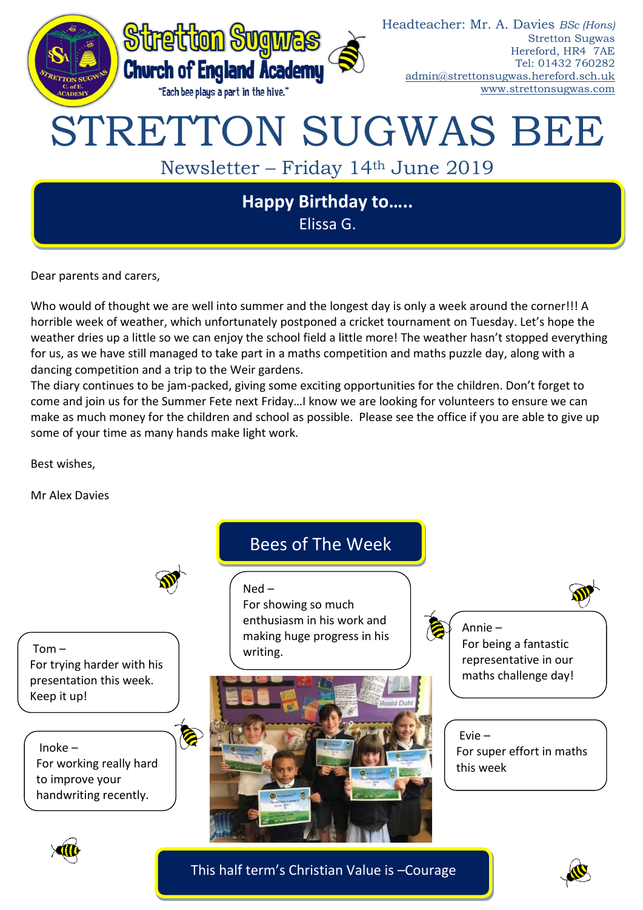

Dear parents and carers,

Who would of thought we are well into summer and the longest day is only a week around the corner!!! A horrible week of weather, which unfortunately postponed a cricket tournament on Tuesday. Let's hope the weather dries up a little so we can enjoy the school field a little more! The weather hasn't stopped everything for us, as we have still managed to take part in a maths competition and maths puzzle day, along with a dancing competition and a trip to the Weir gardens.

The diary continues to be jam-packed, giving some exciting opportunities for the children. Don't forget to come and join us for the Summer Fete next Friday…I know we are looking for volunteers to ensure we can make as much money for the children and school as possible. Please see the office if you are able to give up some of your time as many hands make light work.

Best wishes,

Mr Alex Davies



This half term's Christian Value is –Courage